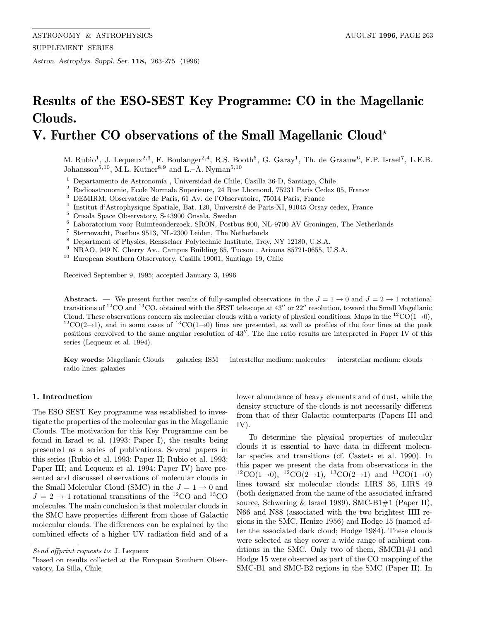Astron. Astrophys. Suppl. Ser. 118, 263-275 (1996)

# Results of the ESO-SEST Key Programme: CO in the Magellanic Clouds.

## V. Further CO observations of the Small Magellanic Cloud?

M. Rubio<sup>1</sup>, J. Lequeux<sup>2,3</sup>, F. Boulanger<sup>2,4</sup>, R.S. Booth<sup>5</sup>, G. Garay<sup>1</sup>, Th. de Graauw<sup>6</sup>, F.P. Israel<sup>7</sup>, L.E.B. Johansson<sup>5,10</sup>, M.L. Kutner<sup>8,9</sup> and L.–Å. Nyman<sup>5,10</sup>

 $^{\rm 1}$  Departamento de Astronomía , Universidad de Chile, Casilla 36-D, Santiago, Chile

<sup>2</sup> Radioastronomie, Ecole Normale Superieure, 24 Rue Lhomond, 75231 Paris Cedex 05, France

<sup>3</sup> DEMIRM, Observatoire de Paris, 61 Av. de l'Observatoire, 75014 Paris, France

 $^4\,$ Institut d'Astrophysique Spatiale, Bat. 120, Université de Paris-XI, 91045 Orsay cedex, France

- <sup>5</sup> Onsala Space Observatory, S-43900 Onsala, Sweden  $^{6}$  Laboratorium voor Ruimteonderzoek, SRON, Postb
- <sup>6</sup> Laboratorium voor Ruimteonderzoek, SRON, Postbus 800, NL-9700 AV Groningen, The Netherlands<br><sup>7</sup> Sterrewacht, Postbus 9513, NL-2300 Leiden, The Netherlands
- <sup>7</sup> Sterrewacht, Postbus 9513, NL-2300 Leiden, The Netherlands
- <sup>8</sup> Department of Physics, Rensselaer Polytechnic Institute, Troy, NY 12180, U.S.A.
- <sup>9</sup> NRAO, 949 N. Cherry Av., Campus Building 65, Tucson , Arizona 85721-0655, U.S.A.

<sup>10</sup> European Southern Observatory, Casilla 19001, Santiago 19, Chile

Received September 9, 1995; accepted January 3, 1996

Abstract. — We present further results of fully-sampled observations in the  $J = 1 \rightarrow 0$  and  $J = 2 \rightarrow 1$  rotational transitions of <sup>12</sup>CO and <sup>13</sup>CO, obtained with the SEST telescope at 43<sup>t</sup> or 22<sup>t</sup> resolution, toward the Small Magellanic Cloud. These observations concern six molecular clouds with a variety of physical conditions. Ma  ${}^{12}CO(2\rightarrow 1)$ , and in some cases of  ${}^{13}CO(1\rightarrow 0)$  lines are presented, as well as profiles of the four lines at the peak positions convolved to the same angular resolution of 43''. The line ratio results are interpreted in Paper IV of this series (Lequeux et al. 1994).

Key words: Magellanic Clouds — galaxies: ISM — interstellar medium: molecules — interstellar medium: clouds radio lines: galaxies

#### 1. Introduction

The ESO SEST Key programme was established to investigate the properties of the molecular gas in the Magellanic Clouds. The motivation for this Key Programme can be found in Israel et al. (1993: Paper I), the results being presented as a series of publications. Several papers in this series (Rubio et al. 1993: Paper II; Rubio et al. 1993: Paper III; and Lequeux et al. 1994: Paper IV) have presented and discussed observations of molecular clouds in the Small Molecular Cloud (SMC) in the  $J = 1 \rightarrow 0$  and  $J = 2 \rightarrow 1$  rotational transitions of the <sup>12</sup>CO and <sup>13</sup>CO molecules. The main conclusion is that molecular clouds in the SMC have properties different from those of Galactic molecular clouds. The differences can be explained by the combined effects of a higher UV radiation field and of a

lower abundance of heavy elements and of dust, while the density structure of the clouds is not necessarily different from that of their Galactic counterparts (Papers III and IV).

To determine the physical properties of molecular clouds it is essential to have data in different molecular species and transitions (cf. Castets et al. 1990). In this paper we present the data from observations in the  ${}^{12}CO(1\rightarrow0), {}^{12}CO(2\rightarrow1), {}^{13}CO(2\rightarrow1)$  and  ${}^{13}CO(1\rightarrow0)$ lines toward six molecular clouds: LIRS 36, LIRS 49 (both designated from the name of the associated infrared source, Schwering & Israel 1989), SMC-B1#1 (Paper II), N66 and N88 (associated with the two brightest HII regions in the SMC, Henize 1956) and Hodge 15 (named after the associated dark cloud; Hodge 1984). These clouds were selected as they cover a wide range of ambient conditions in the SMC. Only two of them, SMCB1#1 and Hodge 15 were observed as part of the CO mapping of the SMC-B1 and SMC-B2 regions in the SMC (Paper II). In

Send offprint requests to: J. Lequeux

<sup>?</sup>based on results collected at the European Southern Observatory, La Silla, Chile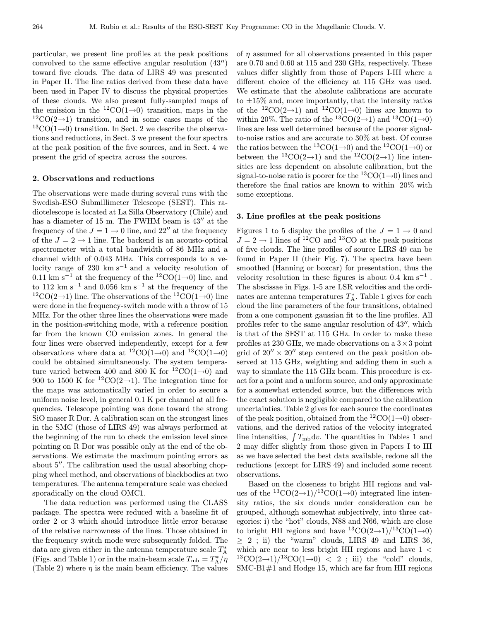particular, we present line profiles at the peak positions convolved to the same effective angular resolution  $(43'')$ toward five clouds. The data of LIRS 49 was presented in Paper II. The line ratios derived from these data have been used in Paper IV to discuss the physical properties of these clouds. We also present fully-sampled maps of the emission in the  ${}^{12}CO(1\rightarrow0)$  transition, maps in the  $12\text{CO}(2\rightarrow 1)$  transition, and in some cases maps of the  ${}^{13}CO(1\rightarrow 0)$  transition. In Sect. 2 we describe the observations and reductions, in Sect. 3 we present the four spectra at the peak position of the five sources, and in Sect. 4 we present the grid of spectra across the sources.

#### 2. Observations and reductions

The observations were made during several runs with the Swedish-ESO Submillimeter Telescope (SEST). This radiotelescope is located at La Silla Observatory (Chile) and has a diameter of 15 m. The FWHM beam is  $43''$  at the frequency of the  $J = 1 \rightarrow 0$  line, and 22" at the frequency of the  $J = 2 \rightarrow 1$  line. The backend is an acousto-optical spectrometer with a total bandwidth of 86 MHz and a channel width of 0.043 MHz. This corresponds to a velocity range of 230 km s<sup> $-1$ </sup> and a velocity resolution of 0.11 km s<sup>-1</sup> at the frequency of the <sup>12</sup>CO(1→0) line, and to 112 km s<sup> $-1$ </sup> and 0.056 km s<sup> $-1$ </sup> at the frequency of the <sup>12</sup>CO(2→1) line. The observations of the <sup>12</sup>CO(1→0) line were done in the frequency-switch mode with a throw of 15 MHz. For the other three lines the observations were made in the position-switching mode, with a reference position far from the known CO emission zones. In general the four lines were observed independently, except for a few observations where data at <sup>12</sup>CO(1→0) and <sup>13</sup>CO(1→0) could be obtained simultaneously. The system temperature varied between 400 and 800 K for  ${}^{12}CO(1\rightarrow0)$  and 900 to 1500 K for <sup>12</sup>CO(2→1). The integration time for the maps was automatically varied in order to secure a uniform noise level, in general 0.1 K per channel at all frequencies. Telescope pointing was done toward the strong SiO maser R Dor. A calibration scan on the strongest lines in the SMC (those of LIRS 49) was always performed at the beginning of the run to check the emission level since pointing on R Dor was possible only at the end of the observations. We estimate the maximum pointing errors as about  $5$ <sup> $\prime\prime$ </sup>. The calibration used the usual absorbing chopping wheel method, and observations of blackbodies at two temperatures. The antenna temperature scale was checked sporadically on the cloud OMC1.

The data reduction was performed using the CLASS package. The spectra were reduced with a baseline fit of order 2 or 3 which should introduce little error because of the relative narrowness of the lines. Those obtained in the frequency switch mode were subsequently folded. The data are given either in the antenna temperature scale  $T_A^*$ (Figs. and Table 1) or in the main-beam scale  $T_{\rm mb} = T_{\rm A}^*/\eta$ (Table 2) where  $\eta$  is the main beam efficiency. The values of  $\eta$  assumed for all observations presented in this paper are 0.70 and 0.60 at 115 and 230 GHz, respectively. These values differ slightly from those of Papers I-III where a different choice of the efficiency at 115 GHz was used. We estimate that the absolute calibrations are accurate to  $\pm 15\%$  and, more importantly, that the intensity ratios of the  ${}^{12}CO(2\rightarrow1)$  and  ${}^{12}CO(1\rightarrow0)$  lines are known to within 20%. The ratio of the <sup>13</sup>CO(2→1) and <sup>13</sup>CO(1→0) lines are less well determined because of the poorer signalto-noise ratios and are accurate to 30% at best. Of course the ratios between the <sup>13</sup>CO(1→0) and the <sup>12</sup>CO(1→0) or between the <sup>13</sup>CO(2→1) and the <sup>12</sup>CO(2→1) line intensities are less dependent on absolute calibration, but the signal-to-noise ratio is poorer for the  ${}^{13}CO(1\rightarrow0)$  lines and therefore the final ratios are known to within 20% with some exceptions.

#### 3. Line profiles at the peak positions

Figures 1 to 5 display the profiles of the  $J = 1 \rightarrow 0$  and  $J=2\rightarrow 1$  lines of  $^{12}\rm CO$  and  $^{13}\rm CO$  at the peak positions of five clouds. The line profiles of source LIRS 49 can be found in Paper II (their Fig. 7). The spectra have been smoothed (Hanning or boxcar) for presentation, thus the velocity resolution in these figures is about  $0.4 \text{ km s}^{-1}$ . The abscissae in Figs. 1-5 are LSR velocities and the ordinates are antenna temperatures  $T_A^*$ . Table 1 gives for each cloud the line parameters of the four transitions, obtained from a one component gaussian fit to the line profiles. All profiles refer to the same angular resolution of  $43$ <sup> $\prime\prime$ </sup>, which is that of the SEST at 115 GHz. In order to make these profiles at 230 GHz, we made observations on a  $3 \times 3$  point grid of  $20'' \times 20''$  step centered on the peak position observed at 115 GHz, weighting and adding them in such a way to simulate the 115 GHz beam. This procedure is exact for a point and a uniform source, and only approximate for a somewhat extended source, but the differences with the exact solution is negligible compared to the calibration uncertainties. Table 2 gives for each source the coordinates of the peak position, obtained from the  ${}^{12}CO(1\rightarrow0)$  observations, and the derived ratios of the velocity integrated line intensities,  $\int T_{\text{mb}} \, dv$ . The quantities in Tables 1 and 2 may differ slightly from those given in Papers I to III as we have selected the best data available, redone all the reductions (except for LIRS 49) and included some recent observations.

Based on the closeness to bright HII regions and values of the  ${}^{13}CO(2\rightarrow1)/{}^{13}CO(1\rightarrow0)$  integrated line intensity ratios, the six clouds under consideration can be grouped, although somewhat subjectively, into three categories: i) the "hot" clouds, N88 and N66, which are close to bright HII regions and have  ${}^{13}CO(2\rightarrow1)/{}^{13}CO(1\rightarrow0)$  $> 2$ ; ii) the "warm" clouds, LIRS 49 and LIRS 36, which are near to less bright HII regions and have  $1 <$  $13\text{CO}(2\rightarrow1)/13\text{CO}(1\rightarrow0)$  < 2; iii) the "cold" clouds, SMC-B1#1 and Hodge 15, which are far from HII regions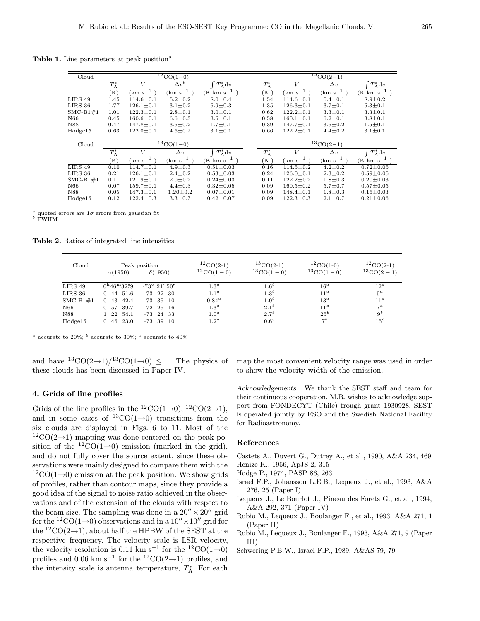Table 1. Line parameters at peak position<sup> $a$ </sup>

|      | V                              | $\Delta v^b$        |                                    |                                                |      | V                              | $\Delta v$          | $T_{\rm A}^*{\rm d}v$                        |  |
|------|--------------------------------|---------------------|------------------------------------|------------------------------------------------|------|--------------------------------|---------------------|----------------------------------------------|--|
| (K)  | $(km s^{-1})$                  | $\rm (km \ s^{-1})$ | $(K \text{ km s}^{-1})$            |                                                | (K)  | $(km s^{-1})$                  | $\rm (km \ s^{-1})$ | $(K \text{ km s}^{-1})$                      |  |
| 1.45 | $114.6 \pm 0.1$                | $5.2 \pm 0.2$       | $8.0 \pm 0.4$                      |                                                | 1.54 | $114.6 \pm 0.1$                | $5.4 \pm 0.1$       | $8.9 \pm 0.2$                                |  |
| 1.77 | $126.1 \pm 0.1$                | $3.1 \pm 0.2$       | $5.9 + 0.3$                        |                                                | 1.35 | $126.3 \pm 0.1$                | $3.7 \pm 0.1$       | $5.3 \pm 0.1$                                |  |
| 1.01 | $122.3 \pm 0.1$                | $2.8 \pm 0.1$       | $3.0 \pm 0.1$                      |                                                | 0.62 | $122.2 \pm 0.1$                | $3.3 \pm 0.1$       | $3.3 \pm 0.1$                                |  |
| 0.45 | $160.6 \pm 0.1$                | $6.6 \pm 0.3$       | $3.5 \pm 0.1$                      |                                                | 0.58 | $160.1 \pm 0.1$                | $6.2 \pm 0.1$       | $3.8 + 0.1$                                  |  |
| 0.47 | $147.8 \pm 0.1$                | $3.5 \pm 0.2$       | $1.7 \pm 0.1$                      |                                                | 0.39 | $147.7 \pm 0.1$                | $3.5 \pm 0.2$       | $1.5 \pm 0.1$                                |  |
| 0.63 | $122.0 \pm 0.1$                | $4.6 \pm 0.2$       | $3.1 \pm 0.1$                      |                                                | 0.66 | $122.2 \pm 0.1$                | $4.4 \pm 0.2$       | $3.1 \pm 0.1$                                |  |
|      |                                |                     |                                    |                                                |      |                                |                     |                                              |  |
|      |                                |                     |                                    |                                                |      |                                |                     |                                              |  |
|      | V                              | $\Delta v$          |                                    |                                                |      | V                              | $\Delta v$          | $T_{\rm A}^*{\rm d}v$                        |  |
| (K)  | $\rm (km \ s^{-1})$            | $\rm (km \ s^{-1})$ | $(K \text{ km s}^{-1})$            |                                                | (K)  | $(km s-1)$                     | $\rm (km \ s^{-1})$ | $(K \text{ km s}^{-1})$                      |  |
| 0.10 | $114.7 \pm 0.1$                | $4.9 \pm 0.3$       | $0.51 \pm 0.03$                    |                                                | 0.16 | $114.5 \pm 0.2$                | $4.2 \pm 0.2$       | $0.72 \pm 0.05$                              |  |
| 0.21 | $126.1 \pm 0.1$                | $2.4 \pm 0.2$       | $0.53 \pm 0.03$                    |                                                | 0.24 | $126.0 \pm 0.1$                | $2.3 \pm 0.2$       | $0.59 + 0.05$                                |  |
| 0.11 | $121.9 \pm 0.1$                | $2.0 \pm 0.2$       | $0.24 \pm 0.03$                    |                                                | 0.11 | $122.2 \pm 0.2$                | $1.8 \pm 0.3$       | $0.20 \pm 0.03$                              |  |
| 0.07 | $159.7 \pm 0.1$                | $4.4 \pm 0.3$       | $0.32 \pm 0.05$                    |                                                | 0.09 | $160.5 \pm 0.2$                | $5.7 \pm 0.7$       | $0.57 \pm 0.05$                              |  |
| 0.05 | $147.3 \pm 0.1$                | $1.20 \pm 0.2$      | $0.07 \pm 0.01$                    |                                                | 0.09 | $148.4 \pm 0.1$                | $1.8 \pm 0.3$       | $0.16 \pm 0.03$                              |  |
| 0.12 | $122.4 \pm 0.3$                | $3.3 \pm 0.7$       | $0.42 \pm 0.07$                    |                                                | 0.09 | $122.3 \pm 0.3$                | $2.1 \pm 0.7$       | $0.21 \pm 0.06$                              |  |
|      | $T_{\rm A}^*$<br>$T_{\rm A}^*$ |                     | $^{12}CO(1-0)$<br>${}^{13}CO(1-0)$ | $T_{\rm A}^*{\rm d}v$<br>$T_{\rm A}^*{\rm d}v$ |      | $T_{\rm A}^*$<br>$T_{\rm A}^*$ |                     | $\frac{12}{\rm CO(2-1)}$<br>${}^{13}CO(2-1)$ |  |

 $^a$  quoted errors are  $1\sigma$  errors from gaussian fit  $^b$  FWHM

Table 2. Ratios of integrated line intensities

| Cloud       | $\alpha(1950)$                   | Peak position<br>$\delta(1950)$ | $^{12}$ CO(2-1)<br>$^{12}CO(1-0)$ | ${}^{13}CO(2-1)$<br>$\sqrt[13]{\rm CO(1-0)}$ | ${}^{12}CO(1-0)$<br>$^{13}CO(1-0)$ | ${}^{12}CO(2-1)$<br>$\frac{13}{13}$ CO(2 - 1) |
|-------------|----------------------------------|---------------------------------|-----------------------------------|----------------------------------------------|------------------------------------|-----------------------------------------------|
| LIRS 49     | $0^{\rm h}46^{\rm m}32^{\rm s}9$ | $-73^{\circ}$ 21' 50"           | 1.3 <sup>a</sup>                  | 1.6 <sup>b</sup>                             | $16^a$                             | $12^a$                                        |
| LIRS 36     | 51.6<br>44<br>0                  | $-73$ 22 30                     | 1.1 <sup>a</sup>                  | 1.3 <sup>b</sup>                             | 11 <sup>a</sup>                    | $9^a$                                         |
| $SMC-B1\#1$ | 42.4<br>43<br>$\Omega$           | $-73$ 35 10                     | $0.84^{\rm a}$                    | 1.0 <sup>b</sup>                             | $13^a$                             | $11^a$                                        |
| N66         | 39.7<br>57<br>0                  | $-72$ 25 16                     | 1.3 <sup>a</sup>                  | $2.1^{b}$                                    | 11 <sup>a</sup>                    | $7^{\alpha}$                                  |
| N88         | 1 22 54.1                        | $-73$ 24 33                     | $1.0^a$                           | 2.7 <sup>b</sup>                             | $25^b$                             | $9^b$                                         |
| Hodge15     | 23.0<br>46<br>0.                 | 39<br>- 10<br>-73               | $1.2^a$                           | 0.6 <sup>c</sup>                             | $\neg b$                           | 15 <sup>c</sup>                               |

 $^a$  accurate to 20%;  $^b$  accurate to 30%;  $^c$  accurate to 40%

and have  ${}^{13}CO(2\rightarrow1)/{}^{13}CO(1\rightarrow0) \leq 1$ . The physics of these clouds has been discussed in Paper IV.

#### 4. Grids of line profiles

Grids of the line profiles in the <sup>12</sup>CO(1→0), <sup>12</sup>CO(2→1), and in some cases of  ${}^{13}CO(1\rightarrow0)$  transitions from the six clouds are displayed in Figs. 6 to 11. Most of the  $12\text{CO}(2\rightarrow 1)$  mapping was done centered on the peak position of the <sup>12</sup>CO(1→0) emission (marked in the grid), and do not fully cover the source extent, since these observations were mainly designed to compare them with the  $12\text{CO}(1\rightarrow 0)$  emission at the peak position. We show grids of profiles, rather than contour maps, since they provide a good idea of the signal to noise ratio achieved in the observations and of the extension of the clouds with respect to the beam size. The sampling was done in a  $20'' \times 20''$  grid for the <sup>12</sup>CO(1→0) observations and in a  $10'' \times 10''$  grid for the  ${}^{12}CO(2\rightarrow1)$ , about half the HPBW of the SEST at the respective frequency. The velocity scale is LSR velocity, the velocity resolution is 0.11 km s<sup>-1</sup> for the <sup>12</sup>CO(1→0) profiles and 0.06 km s<sup>-1</sup> for the <sup>12</sup>CO(2→1) profiles, and the intensity scale is antenna temperature,  $T_A^*$ . For each

map the most convenient velocity range was used in order to show the velocity width of the emission.

Acknowledgements. We thank the SEST staff and team for their continuous cooperation. M.R. wishes to acknowledge support from FONDECYT (Chile) trough grant 1930928. SEST is operated jointly by ESO and the Swedish National Facility for Radioastronomy.

#### References

Castets A., Duvert G., Dutrey A., et al., 1990, A&A 234, 469 Henize K., 1956, ApJS 2, 315

- Hodge P., 1974, PASP 86, 263
- Israel F.P., Johansson L.E.B., Lequeux J., et al., 1993, A&A 276, 25 (Paper I)
- Lequeux J., Le Bourlot J., Pineau des Forets G., et al., 1994, A&A 292, 371 (Paper IV)
- Rubio M., Lequeux J., Boulanger F., et al., 1993, A&A 271, 1 (Paper II)
- Rubio M., Lequeux J., Boulanger F., 1993, A&A 271, 9 (Paper III)
- Schwering P.B.W., Israel F.P., 1989, A&AS 79, 79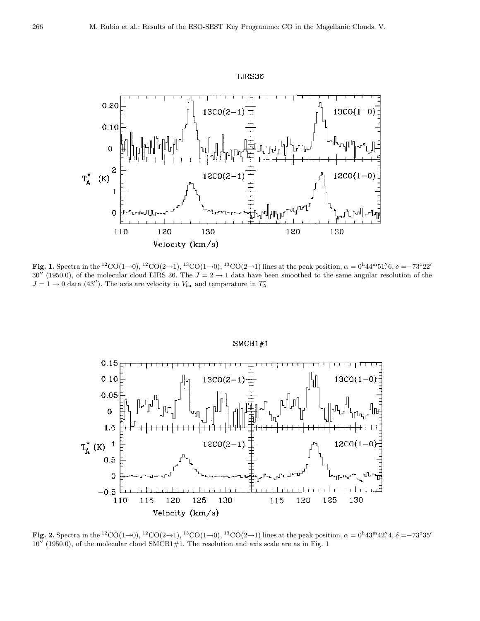

Fig. 1. Spectra in the <sup>12</sup>CO(1→0), <sup>12</sup>CO(2→1), <sup>13</sup>CO(1→0), <sup>13</sup>CO(2→1) lines at the peak position,  $\alpha = 0^{\text{h}}44^{\text{m}}51\text{''}6, \delta = -73^{\circ}22\text{''}6$  $30''$  (1950.0), of the molecular cloud LIRS 36. The  $J = 2 \rightarrow 1$  data have been smoothed to the same angular resolution of the  $J = 1 \rightarrow 0$  data (43''). The axis are velocity in  $V_{\text{lsr}}$  and temperature in  $T_A^*$ 



 $SMCB1#1$ 

Fig. 2. Spectra in the <sup>12</sup>CO(1→0), <sup>12</sup>CO(2→1), <sup>13</sup>CO(1→0), <sup>13</sup>CO(2→1) lines at the peak position,  $\alpha = 0^{\text{h}}43^{\text{m}}42''.4, \delta = -73^{\circ}35'$  $10''$  (1950.0), of the molecular cloud SMCB1#1. The resolution and axis scale are as in Fig. 1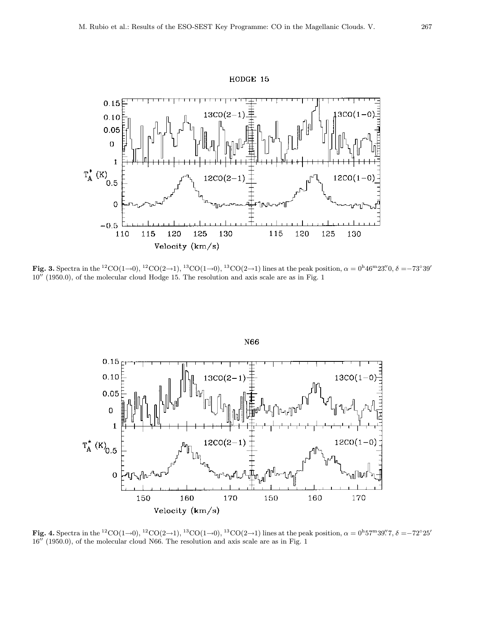



Fig. 3. Spectra in the <sup>12</sup>CO(1→0), <sup>12</sup>CO(2→1), <sup>13</sup>CO(1→0), <sup>13</sup>CO(2→1) lines at the peak position,  $\alpha = 0^{\text{h}} 46^{\text{m}} 23\rlap{.}^{\prime\prime}0, \delta = -73°39'\ldots$  $10''$  (1950.0), of the molecular cloud Hodge 15. The resolution and axis scale are as in Fig. 1



Fig. 4. Spectra in the <sup>12</sup>CO(1→0), <sup>12</sup>CO(2→1), <sup>13</sup>CO(1→0), <sup>13</sup>CO(2→1) lines at the peak position,  $\alpha = 0^{\text{h}}57^{\text{m}}39\rlap{.}''7$ ,  $\delta = -72^{\circ}25\rlap{.}''7$  $16''$  (1950.0), of the molecular cloud N66. The resolution and axis scale are as in Fig. 1

### HODGE 15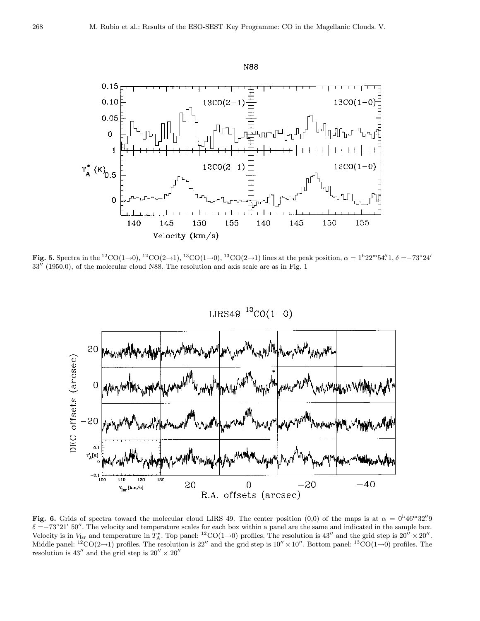

Fig. 5. Spectra in the <sup>12</sup>CO(1→0), <sup>12</sup>CO(2→1), <sup>13</sup>CO(1→0), <sup>13</sup>CO(2→1) lines at the peak position,  $\alpha = 1^{\text{h}}22^{\text{m}}54^{\prime}\text{/}1, \delta = -73^{\circ}24^{\prime}$  $33''$  (1950.0), of the molecular cloud N88. The resolution and axis scale are as in Fig. 1



Fig. 6. Grids of spectra toward the molecular cloud LIRS 49. The center position (0,0) of the maps is at  $\alpha = 0^{\text{h}}46^{\text{m}}32''9$  $\delta = -73°21'50''$ . The velocity and temperature scales for each box within a panel are the same and indicated in the sample box. Velocity is in  $V_{\text{lsr}}$  and temperature in  $T_A^*$ . Top panel: <sup>12</sup>CO(1→0) profiles. The resolution is 43<sup>0</sup> and the grid step is 20<sup>0</sup> × 20<sup>0</sup>. Middle panel:  ${}^{12}CO(2\rightarrow1)$  profiles. The resolution is 22" and the grid step is  $10'' \times 10''$ . Bottom panel:  ${}^{13}CO(1\rightarrow0)$  profiles. The resolution is 43<sup> $\prime\prime$ </sup> and the grid step is 20 $\prime\prime \times 20\prime\prime$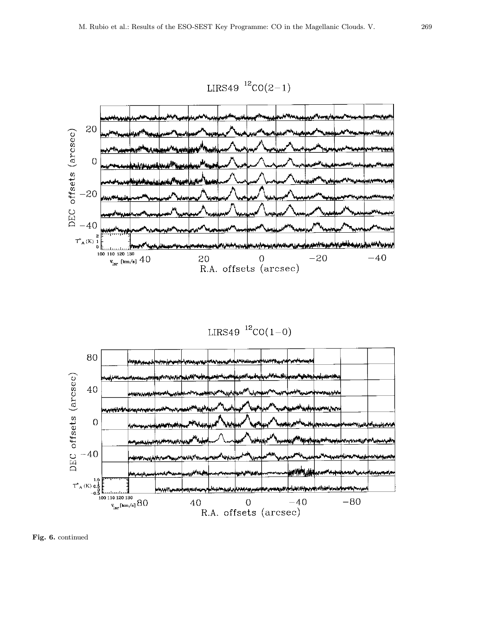

 $LIRS49$   ${}^{12}CO(2-1)$ 

 $LIRS49$ <sup>12</sup>CO(1-0)



Fig. 6. continued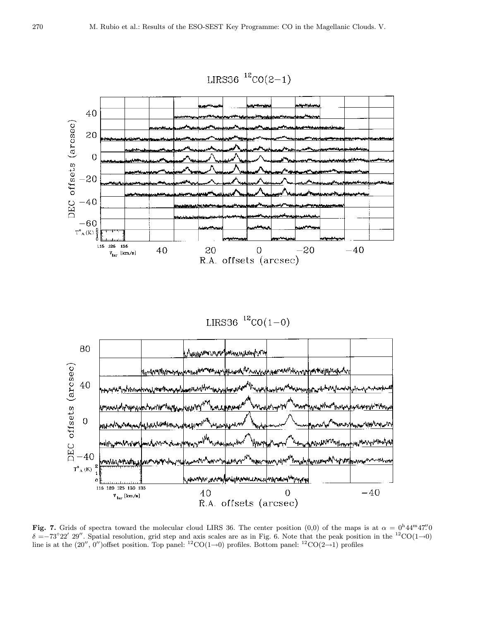

LIRS36  ${}^{12}CO(1-0)$ 



Fig. 7. Grids of spectra toward the molecular cloud LIRS 36. The center position (0,0) of the maps is at  $\alpha = 0^{\text{h}}44^{\text{m}}47''$ .  $\delta =-73°22'$  29". Spatial resolution, grid step and axis scales are as in Fig. 6. Note that the peak position in the <sup>12</sup>CO(1→0) line is at the  $(20'', 0'')$ offset position. Top panel: <sup>12</sup>CO(1→0) profiles. Bottom panel: <sup>12</sup>CO(2→1) profiles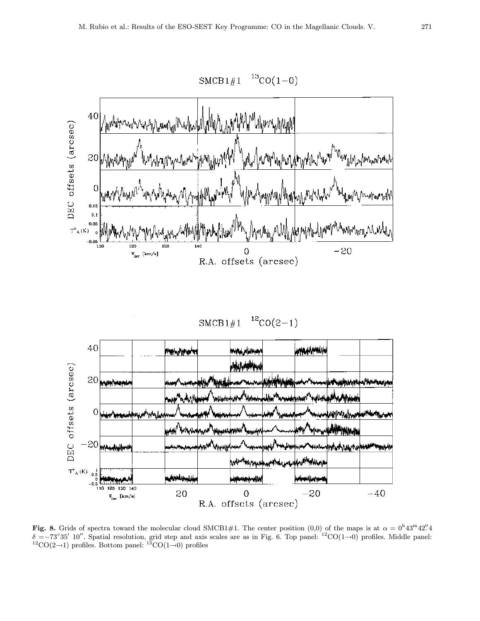

 $SMCB1#1$  $12CO(2-1)$ 



Fig. 8. Grids of spectra toward the molecular cloud SMCB1#1. The center position (0,0) of the maps is at  $\alpha = 0^{\text{h}}43^{\text{m}}42''$ .  $\delta = -73°35'$  10''. Spatial resolution, grid step and axis scales are as in Fig. 6. Top panel: <sup>12</sup>CO(1→0) profiles. Middle panel: <sup>12</sup>CO(2→1) profiles. Bottom panel: <sup>13</sup>CO(1→0) profiles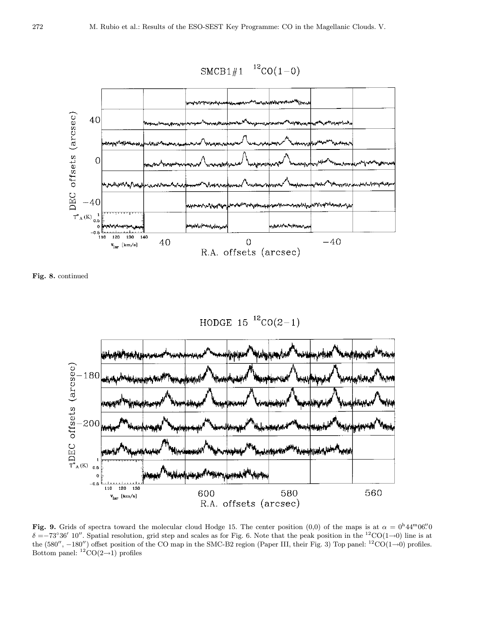

Fig. 8. continued



Fig. 9. Grids of spectra toward the molecular cloud Hodge 15. The center position (0,0) of the maps is at  $\alpha = 0^{\text{h}}44^{\text{m}}06''$  $\delta =-73^{\circ}36'$  10''. Spatial resolution, grid step and scales as for Fig. 6. Note that the peak position in the <sup>12</sup>CO(1→0) line is at the (580'',  $-180'$ ) offset position of the CO map in the SMC-B2 region (Paper III, their Fig. 3) Top panel: <sup>12</sup>CO(1→0) profiles. Bottom panel:  ${}^{12}CO(2\rightarrow1)$  profiles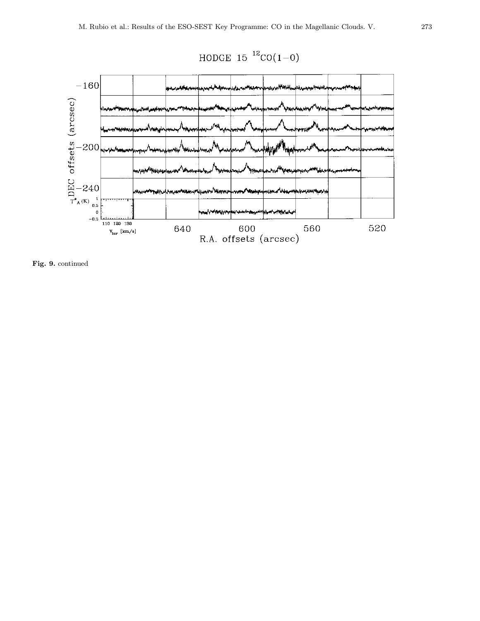



Fig. 9. continued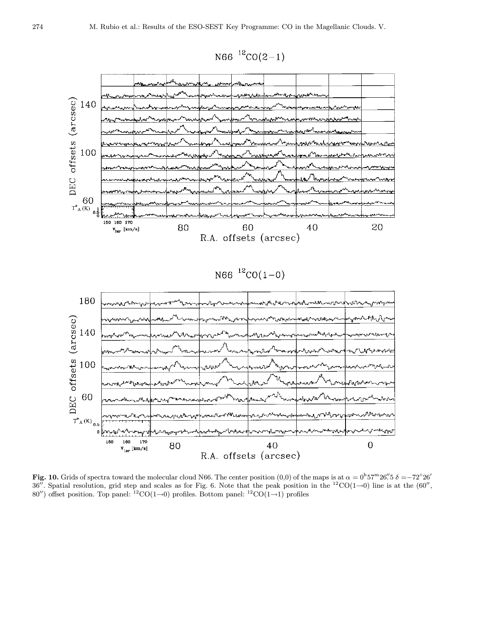



Fig. 10. Grids of spectra toward the molecular cloud N66. The center position  $(0,0)$  of the maps is at  $\alpha = 0^{\text{h}}57^{\text{m}}26\degree$ .  $\delta = -72^{\circ}26\degree$ 36''. Spatial resolution, grid step and scales as for Fig. 6. Note that the peak position in the <sup>12</sup>CO(1→0) line is at the (60'', 80") offset position. Top panel: <sup>12</sup>CO(1→0) profiles. Bottom panel: <sup>12</sup>CO(1→1) profiles